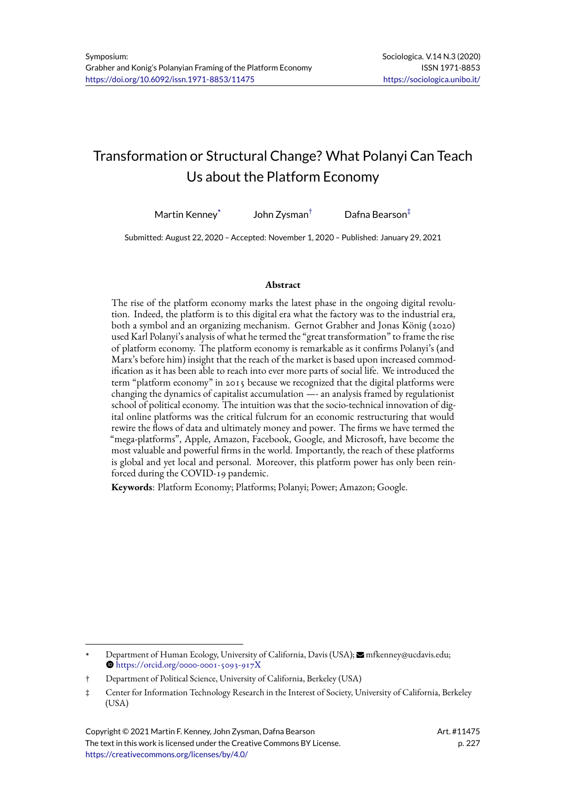# Transformation or Structural Change? What Polanyi Can Teach Us about the Platform Economy

Martin Kenney $^*$  John Zysman<sup>†</sup> Dafna Bearson<sup>‡</sup>

Submitted: August 22, 2020 – Accepted: November 1, 2020 – Published: January 29, 2021

#### **Abstract**

The rise of the platform economy marks the latest phase in the ongoing digital revolution. Indeed, the platform is to this digital era what the factory was to the industrial era, both a symbol and an organizing mechanism. Gernot Grabher and Jonas König (2020) used Karl Polanyi's analysis of what he termed the "great transformation" to frame the rise of platform economy. The platform economy is remarkable as it confirms Polanyi's (and Marx's before him) insight that the reach of the market is based upon increased commodification as it has been able to reach into ever more parts of social life. We introduced the term "platform economy" in 2015 because we recognized that the digital platforms were changing the dynamics of capitalist accumulation —- an analysis framed by regulationist school of political economy. The intuition was that the socio-technical innovation of digital online platforms was the critical fulcrum for an economic restructuring that would rewire the flows of data and ultimately money and power. The firms we have termed the "mega-platforms", Apple, Amazon, Facebook, Google, and Microsoft, have become the most valuable and powerful firms in the world. Importantly, the reach of these platforms is global and yet local and personal. Moreover, this platform power has only been reinforced during the COVID-19 pandemic.

**Keywords**: Platform Economy; Platforms; Polanyi; Power; Amazon; Google.

Department of Human Ecology, University of California, Davis (USA);  $\blacksquare$  mfkenney@ucdavis.edu;  $\bullet$  https://orcid.org/0000-0001-5093-917X

<sup>†</sup> Department of Political Science, University of California, Berkeley (USA)

<sup>‡</sup> Center for Information Technology Research in the Interest of Society, University of California, Berkeley (U[SA\)](https://orcid.org/0000-0001-5093-917X)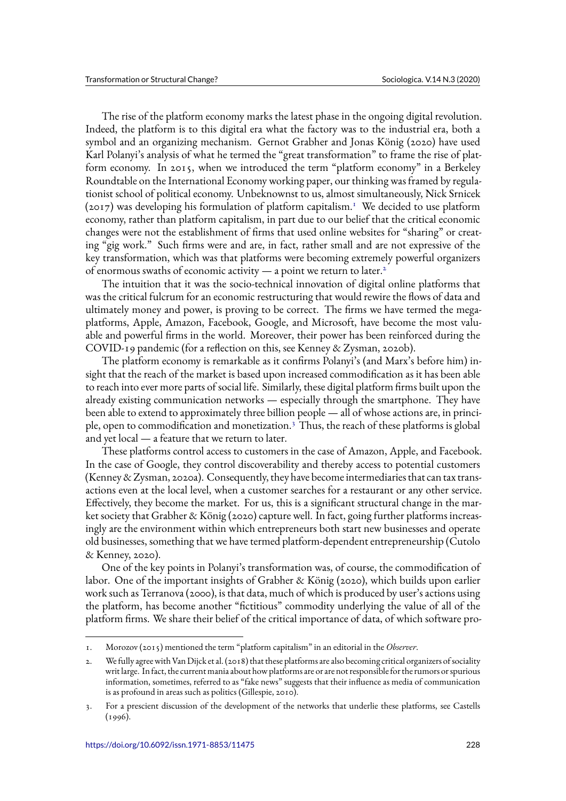The rise of the platform economy marks the latest phase in the ongoing digital revolution. Indeed, the platform is to this digital era what the factory was to the industrial era, both a symbol and an organizing mechanism. Gernot Grabher and Jonas König (2020) have used Karl Polanyi's analysis of what he termed the "great transformation" to frame the rise of platform economy. In 2015, when we introduced the term "platform economy" in a Berkeley Roundtable on the International Economy working paper, our thinking was framed by regulationist school of political economy. Unbeknownst to us, almost simultaneously, Nick Srnicek  $(2017)$  was developing his formulation of platform capitalism.<sup>1</sup> We decided to use platform economy, rather than platform capitalism, in part due to our belief that the critical economic changes were not the establishment of firms that used online websites for "sharing" or creating "gig work." Such firms were and are, in fact, rather smal[l a](#page-1-0)nd are not expressive of the key transformation, which was that platforms were becoming extremely powerful organizers of enormous swaths of economic activity  $-$  a point we return to later.<sup>2</sup>

The intuition that it was the socio-technical innovation of digital online platforms that was the critical fulcrum for an economic restructuring that would rewire the flows of data and ultimately money and power, is proving to be correct. The firms we [h](#page-1-1)ave termed the megaplatforms, Apple, Amazon, Facebook, Google, and Microsoft, have become the most valuable and powerful firms in the world. Moreover, their power has been reinforced during the COVID-19 pandemic (for a reflection on this, see Kenney & Zysman, 2020b).

The platform economy is remarkable as it confirms Polanyi's (and Marx's before him) insight that the reach of the market is based upon increased commodification as it has been able to reach into ever more parts of social life. Similarly, these digital platform firms built upon the already existing communication networks — especially through the smartphone. They have been able to extend to approximately three billion people — all of whose actions are, in principle, open to commodification and monetization.<sup>3</sup> Thus, the reach of these platforms is global and yet local — a feature that we return to later.

These platforms control access to customers in the case of Amazon, Apple, and Facebook. In the case of Google, they control discoverabili[ty](#page-1-2) and thereby access to potential customers (Kenney & Zysman, 2020a). Consequently, they have become intermediaries that can tax transactions even at the local level, when a customer searches for a restaurant or any other service. Effectively, they become the market. For us, this is a significant structural change in the market society that Grabher & König (2020) capture well. In fact, going further platforms increasingly are the environment within which entrepreneurs both start new businesses and operate old businesses, something that we have termed platform-dependent entrepreneurship (Cutolo & Kenney, 2020).

One of the key points in Polanyi's transformation was, of course, the commodification of labor. One of the important insights of Grabher & König (2020), which builds upon earlier work such as Terranova (2000), is that data, much of which is produced by user's actions using the platform, has become another "fictitious" commodity underlying the value of all of the platform firms. We share their belief of the critical importance of data, of which software pro-

<sup>1.</sup> Morozov (2015) mentioned the term "platform capitalism" in an editorial in the *Observer*.

<sup>2.</sup> We fully agree with Van Dijck et al. (2018) that these platforms are also becoming critical organizers of sociality writ large. In fact, the current mania about how platforms are or are not responsible for the rumors or spurious information, sometimes, referred to as "fake news" suggests that their influence as media of communication is as profound in areas such as politics (Gillespie, 2010).

<span id="page-1-2"></span><span id="page-1-1"></span><span id="page-1-0"></span><sup>3.</sup> For a prescient discussion of the development of the networks that underlie these platforms, see Castells (1996).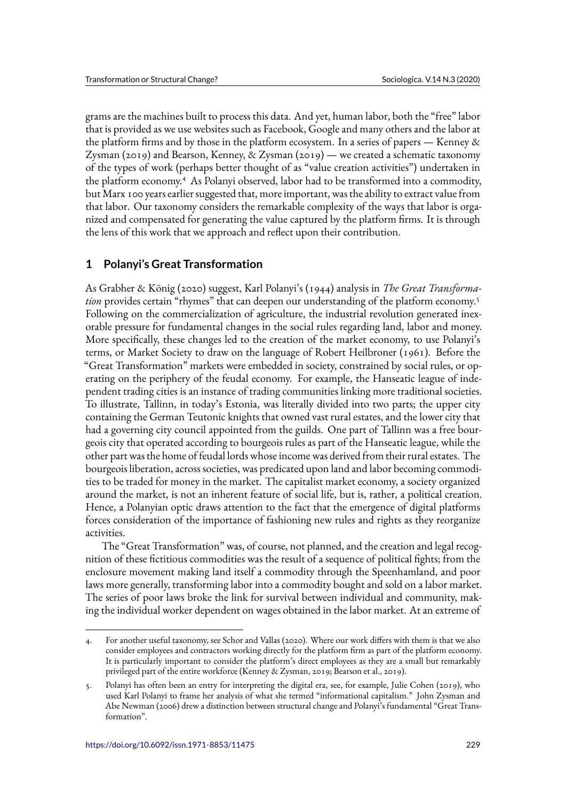grams are the machines built to process this data. And yet, human labor, both the "free" labor that is provided as we use websites such as Facebook, Google and many others and the labor at the platform firms and by those in the platform ecosystem. In a series of papers — Kenney  $\&$ Zysman (2019) and Bearson, Kenney, & Zysman (2019) — we created a schematic taxonomy of the types of work (perhaps better thought of as "value creation activities") undertaken in the platform economy.<sup>4</sup> As Polanyi observed, labor had to be transformed into a commodity, but Marx 100 years earlier suggested that, more important, was the ability to extract value from that labor. Our taxonomy considers the remarkable complexity of the ways that labor is organized and compensate[d](#page-2-0) for generating the value captured by the platform firms. It is through the lens of this work that we approach and reflect upon their contribution.

# **1 Polanyi's Great Transformation**

As Grabher & König (2020) suggest, Karl Polanyi's (1944) analysis in *The Great Transformation* provides certain "rhymes" that can deepen our understanding of the platform economy.<sup>5</sup> Following on the commercialization of agriculture, the industrial revolution generated inexorable pressure for fundamental changes in the social rules regarding land, labor and money. More specifically, these changes led to the creation of the market economy, to use Polanyi['s](#page-2-1) terms, or Market Society to draw on the language of Robert Heilbroner (1961). Before the "Great Transformation" markets were embedded in society, constrained by social rules, or operating on the periphery of the feudal economy. For example, the Hanseatic league of independent trading cities is an instance of trading communities linking more traditional societies. To illustrate, Tallinn, in today's Estonia, was literally divided into two parts; the upper city containing the German Teutonic knights that owned vast rural estates, and the lower city that had a governing city council appointed from the guilds. One part of Tallinn was a free bourgeois city that operated according to bourgeois rules as part of the Hanseatic league, while the other part was the home of feudal lords whose income was derived from their rural estates. The bourgeois liberation, across societies, was predicated upon land and labor becoming commodities to be traded for money in the market. The capitalist market economy, a society organized around the market, is not an inherent feature of social life, but is, rather, a political creation. Hence, a Polanyian optic draws attention to the fact that the emergence of digital platforms forces consideration of the importance of fashioning new rules and rights as they reorganize activities.

The "Great Transformation" was, of course, not planned, and the creation and legal recognition of these fictitious commodities was the result of a sequence of political fights; from the enclosure movement making land itself a commodity through the Speenhamland, and poor laws more generally, transforming labor into a commodity bought and sold on a labor market. The series of poor laws broke the link for survival between individual and community, making the individual worker dependent on wages obtained in the labor market. At an extreme of

<sup>4.</sup> For another useful taxonomy, see Schor and Vallas (2020). Where our work differs with them is that we also consider employees and contractors working directly for the platform firm as part of the platform economy. It is particularly important to consider the platform's direct employees as they are a small but remarkably privileged part of the entire workforce (Kenney & Zysman, 2019; Bearson et al., 2019).

<span id="page-2-1"></span><span id="page-2-0"></span><sup>5.</sup> Polanyi has often been an entry for interpreting the digital era, see, for example, Julie Cohen (2019), who used Karl Polanyi to frame her analysis of what she termed "informational capitalism." John Zysman and Abe Newman (2006) drew a distinction between structural change and Polanyi's fundamental "Great Transformation".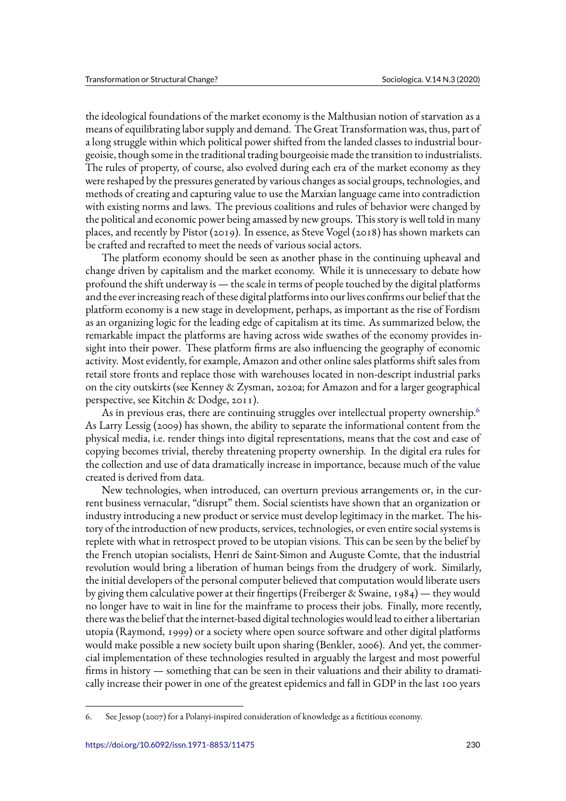the ideological foundations of the market economy is the Malthusian notion of starvation as a means of equilibrating labor supply and demand. The Great Transformation was, thus, part of a long struggle within which political power shifted from the landed classes to industrial bourgeoisie, though some in the traditional trading bourgeoisie made the transition to industrialists. The rules of property, of course, also evolved during each era of the market economy as they were reshaped by the pressures generated by various changes as social groups, technologies, and methods of creating and capturing value to use the Marxian language came into contradiction with existing norms and laws. The previous coalitions and rules of behavior were changed by the political and economic power being amassed by new groups. This story is well told in many places, and recently by Pistor (2019). In essence, as Steve Vogel (2018) has shown markets can be crafted and recrafted to meet the needs of various social actors.

The platform economy should be seen as another phase in the continuing upheaval and change driven by capitalism and the market economy. While it is unnecessary to debate how profound the shift underway is — the scale in terms of people touched by the digital platforms and the ever increasing reach of these digital platforms into our lives confirms our belief that the platform economy is a new stage in development, perhaps, as important as the rise of Fordism as an organizing logic for the leading edge of capitalism at its time. As summarized below, the remarkable impact the platforms are having across wide swathes of the economy provides insight into their power. These platform firms are also influencing the geography of economic activity. Most evidently, for example, Amazon and other online sales platforms shift sales from retail store fronts and replace those with warehouses located in non-descript industrial parks on the city outskirts (see Kenney & Zysman, 2020a; for Amazon and for a larger geographical perspective, see Kitchin & Dodge, 2011).

As in previous eras, there are continuing struggles over intellectual property ownership.<sup>6</sup> As Larry Lessig (2009) has shown, the ability to separate the informational content from the physical media, i.e. render things into digital representations, means that the cost and ease of copying becomes trivial, thereby threatening property ownership. In the digital era rules f[or](#page-3-0) the collection and use of data dramatically increase in importance, because much of the value created is derived from data.

New technologies, when introduced, can overturn previous arrangements or, in the current business vernacular, "disrupt" them. Social scientists have shown that an organization or industry introducing a new product or service must develop legitimacy in the market. The history of the introduction of new products, services, technologies, or even entire social systems is replete with what in retrospect proved to be utopian visions. This can be seen by the belief by the French utopian socialists, Henri de Saint-Simon and Auguste Comte, that the industrial revolution would bring a liberation of human beings from the drudgery of work. Similarly, the initial developers of the personal computer believed that computation would liberate users by giving them calculative power at their fingertips (Freiberger & Swaine, 1984) — they would no longer have to wait in line for the mainframe to process their jobs. Finally, more recently, there was the belief that the internet-based digital technologies would lead to either a libertarian utopia (Raymond, 1999) or a society where open source software and other digital platforms would make possible a new society built upon sharing (Benkler, 2006). And yet, the commercial implementation of these technologies resulted in arguably the largest and most powerful firms in history — something that can be seen in their valuations and their ability to dramatically increase their power in one of the greatest epidemics and fall in GDP in the last 100 years

<span id="page-3-0"></span><sup>6.</sup> See Jessop (2007) for a Polanyi-inspired consideration of knowledge as a fictitious economy.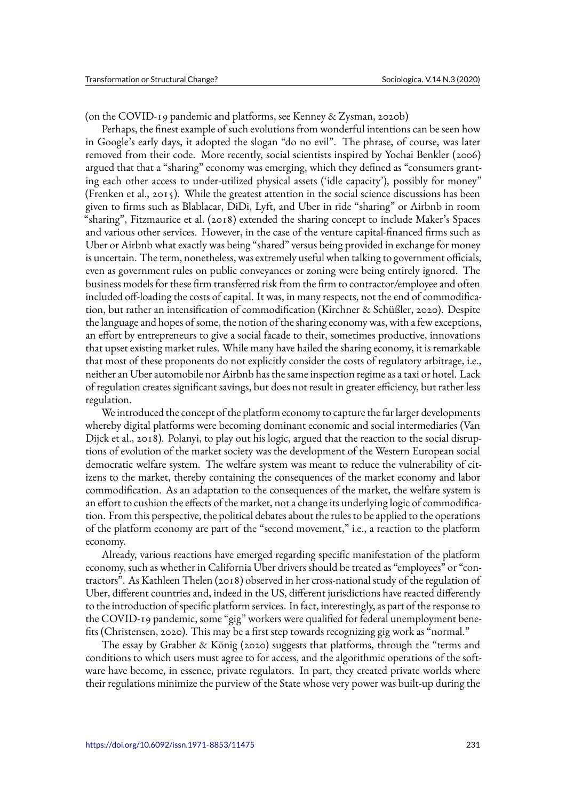(on the COVID-19 pandemic and platforms, see Kenney & Zysman, 2020b)

Perhaps, the finest example of such evolutions from wonderful intentions can be seen how in Google's early days, it adopted the slogan "do no evil". The phrase, of course, was later removed from their code. More recently, social scientists inspired by Yochai Benkler (2006) argued that that a "sharing" economy was emerging, which they defined as "consumers granting each other access to under-utilized physical assets ('idle capacity'), possibly for money" (Frenken et al., 2015). While the greatest attention in the social science discussions has been given to firms such as Blablacar, DiDi, Lyft, and Uber in ride "sharing" or Airbnb in room "sharing", Fitzmaurice et al. (2018) extended the sharing concept to include Maker's Spaces and various other services. However, in the case of the venture capital-financed firms such as Uber or Airbnb what exactly was being "shared" versus being provided in exchange for money is uncertain. The term, nonetheless, was extremely useful when talking to government officials, even as government rules on public conveyances or zoning were being entirely ignored. The business models for these firm transferred risk from the firm to contractor/employee and often included off-loading the costs of capital. It was, in many respects, not the end of commodification, but rather an intensification of commodification (Kirchner & Schüßler, 2020). Despite the language and hopes of some, the notion of the sharing economy was, with a few exceptions, an effort by entrepreneurs to give a social facade to their, sometimes productive, innovations that upset existing market rules. While many have hailed the sharing economy, it is remarkable that most of these proponents do not explicitly consider the costs of regulatory arbitrage, i.e., neither an Uber automobile nor Airbnb has the same inspection regime as a taxi or hotel. Lack of regulation creates significant savings, but does not result in greater efficiency, but rather less regulation.

We introduced the concept of the platform economy to capture the far larger developments whereby digital platforms were becoming dominant economic and social intermediaries (Van Dijck et al., 2018). Polanyi, to play out his logic, argued that the reaction to the social disruptions of evolution of the market society was the development of the Western European social democratic welfare system. The welfare system was meant to reduce the vulnerability of citizens to the market, thereby containing the consequences of the market economy and labor commodification. As an adaptation to the consequences of the market, the welfare system is an effort to cushion the effects of the market, not a change its underlying logic of commodification. From this perspective, the political debates about the rules to be applied to the operations of the platform economy are part of the "second movement," i.e., a reaction to the platform economy.

Already, various reactions have emerged regarding specific manifestation of the platform economy, such as whether in California Uber drivers should be treated as "employees" or "contractors". As Kathleen Thelen (2018) observed in her cross-national study of the regulation of Uber, different countries and, indeed in the US, different jurisdictions have reacted differently to the introduction of specific platform services. In fact, interestingly, as part of the response to the COVID-19 pandemic, some "gig" workers were qualified for federal unemployment benefits (Christensen, 2020). This may be a first step towards recognizing gig work as "normal."

The essay by Grabher & König (2020) suggests that platforms, through the "terms and conditions to which users must agree to for access, and the algorithmic operations of the software have become, in essence, private regulators. In part, they created private worlds where their regulations minimize the purview of the State whose very power was built-up during the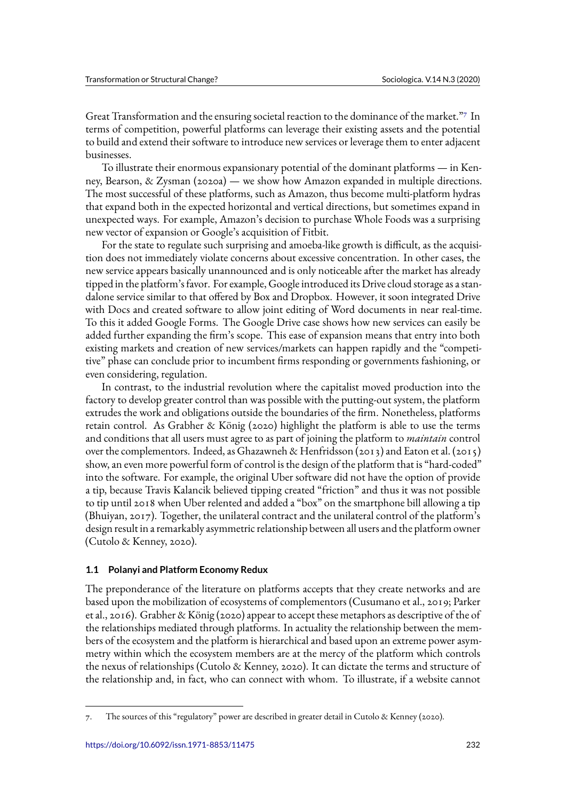Great Transformation and the ensuring societal reaction to the dominance of the market."7 In terms of competition, powerful platforms can leverage their existing assets and the potential to build and extend their software to introduce new services or leverage them to enter adjacent businesses.

To illustrate their enormous expansionary potential of the dominant platforms — in [K](#page-5-0)enney, Bearson, & Zysman (2020a) — we show how Amazon expanded in multiple directions. The most successful of these platforms, such as Amazon, thus become multi-platform hydras that expand both in the expected horizontal and vertical directions, but sometimes expand in unexpected ways. For example, Amazon's decision to purchase Whole Foods was a surprising new vector of expansion or Google's acquisition of Fitbit.

For the state to regulate such surprising and amoeba-like growth is difficult, as the acquisition does not immediately violate concerns about excessive concentration. In other cases, the new service appears basically unannounced and is only noticeable after the market has already tipped in the platform's favor. For example, Google introduced its Drive cloud storage as a standalone service similar to that offered by Box and Dropbox. However, it soon integrated Drive with Docs and created software to allow joint editing of Word documents in near real-time. To this it added Google Forms. The Google Drive case shows how new services can easily be added further expanding the firm's scope. This ease of expansion means that entry into both existing markets and creation of new services/markets can happen rapidly and the "competitive" phase can conclude prior to incumbent firms responding or governments fashioning, or even considering, regulation.

In contrast, to the industrial revolution where the capitalist moved production into the factory to develop greater control than was possible with the putting-out system, the platform extrudes the work and obligations outside the boundaries of the firm. Nonetheless, platforms retain control. As Grabher & König (2020) highlight the platform is able to use the terms and conditions that all users must agree to as part of joining the platform to *maintain* control over the complementors. Indeed, as Ghazawneh & Henfridsson (2013) and Eaton et al. (2015) show, an even more powerful form of control is the design of the platform that is "hard-coded" into the software. For example, the original Uber software did not have the option of provide a tip, because Travis Kalancik believed tipping created "friction" and thus it was not possible to tip until 2018 when Uber relented and added a "box" on the smartphone bill allowing a tip (Bhuiyan, 2017). Together, the unilateral contract and the unilateral control of the platform's design result in a remarkably asymmetric relationship between all users and the platform owner (Cutolo & Kenney, 2020).

## **1.1 Polanyi and Platform Economy Redux**

The preponderance of the literature on platforms accepts that they create networks and are based upon the mobilization of ecosystems of complementors (Cusumano et al., 2019; Parker et al., 2016). Grabher & König (2020) appear to accept these metaphors as descriptive of the of the relationships mediated through platforms. In actuality the relationship between the members of the ecosystem and the platform is hierarchical and based upon an extreme power asymmetry within which the ecosystem members are at the mercy of the platform which controls the nexus of relationships (Cutolo & Kenney, 2020). It can dictate the terms and structure of the relationship and, in fact, who can connect with whom. To illustrate, if a website cannot

<span id="page-5-0"></span><sup>7.</sup> The sources of this "regulatory" power are described in greater detail in Cutolo & Kenney (2020).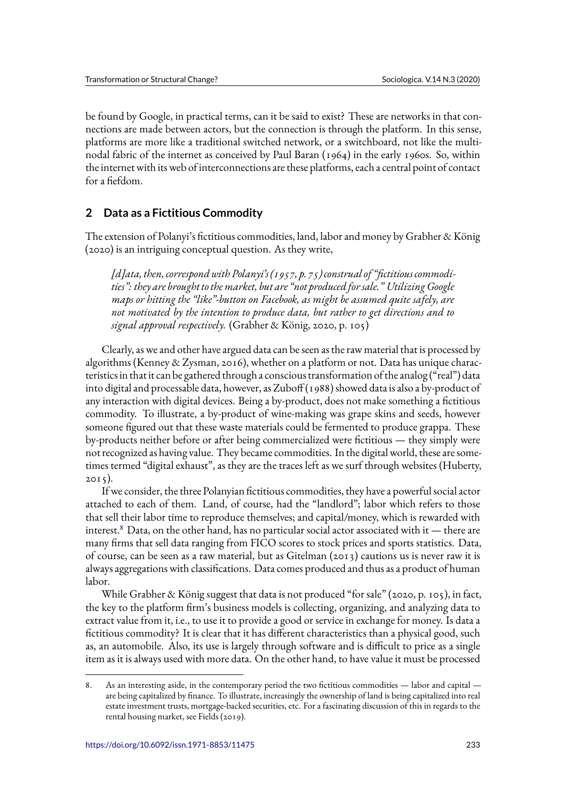be found by Google, in practical terms, can it be said to exist? These are networks in that connections are made between actors, but the connection is through the platform. In this sense, platforms are more like a traditional switched network, or a switchboard, not like the multinodal fabric of the internet as conceived by Paul Baran (1964) in the early 1960s. So, within the internet with its web of interconnections are these platforms, each a central point of contact for a fiefdom.

# **2 Data as a Fictitious Commodity**

The extension of Polanyi's fictitious commodities, land, labor and money by Grabher & König (2020) is an intriguing conceptual question. As they write,

*[d]ata, then, correspond with Polanyi's (1957, p. 75) construal of "fictitious commodi*ties": they are brought to the market, but are "not produced for sale." Utilizing Google *maps or hitting the "like"-button on Facebook, as might be assumed quite safely, are not motivated by the intention to produce data, but rather to get directions and to signal approval respectively.* (Grabher & König, 2020, p. 105)

Clearly, as we and other have argued data can be seen as the raw material that is processed by algorithms (Kenney & Zysman, 2016), whether on a platform or not. Data has unique characteristics in that it can be gathered through a conscious transformation of the analog ("real") data into digital and processable data, however, as Zuboff (1988) showed data is also a by-product of any interaction with digital devices. Being a by-product, does not make something a fictitious commodity. To illustrate, a by-product of wine-making was grape skins and seeds, however someone figured out that these waste materials could be fermented to produce grappa. These by-products neither before or after being commercialized were fictitious — they simply were not recognized as having value. They became commodities. In the digital world, these are sometimes termed "digital exhaust", as they are the traces left as we surf through websites (Huberty,  $2015$ ).

If we consider, the three Polanyian fictitious commodities, they have a powerful social actor attached to each of them. Land, of course, had the "landlord"; labor which refers to those that sell their labor time to reproduce themselves; and capital/money, which is rewarded with interest.<sup>8</sup> Data, on the other hand, has no particular social actor associated with it — there are many firms that sell data ranging from FICO scores to stock prices and sports statistics. Data, of course, can be seen as a raw material, but as Gitelman (2013) cautions us is never raw it is alwaysa[g](#page-6-0)gregations with classifications. Data comes produced and thus as a product of human labor.

While Grabher & König suggest that data is not produced "for sale" (2020, p. 105), in fact, the key to the platform firm's business models is collecting, organizing, and analyzing data to extract value from it, i.e., to use it to provide a good or service in exchange for money. Is data a fictitious commodity? It is clear that it has different characteristics than a physical good, such as, an automobile. Also, its use is largely through software and is difficult to price as a single item as it is always used with more data. On the other hand, to have value it must be processed

<span id="page-6-0"></span><sup>8.</sup> As an interesting aside, in the contemporary period the two fictitious commodities - labor and capital are being capitalized by finance. To illustrate, increasingly the ownership of land is being capitalized into real estate investment trusts, mortgage-backed securities, etc. For a fascinating discussion of this in regards to the rental housing market, see Fields (2019).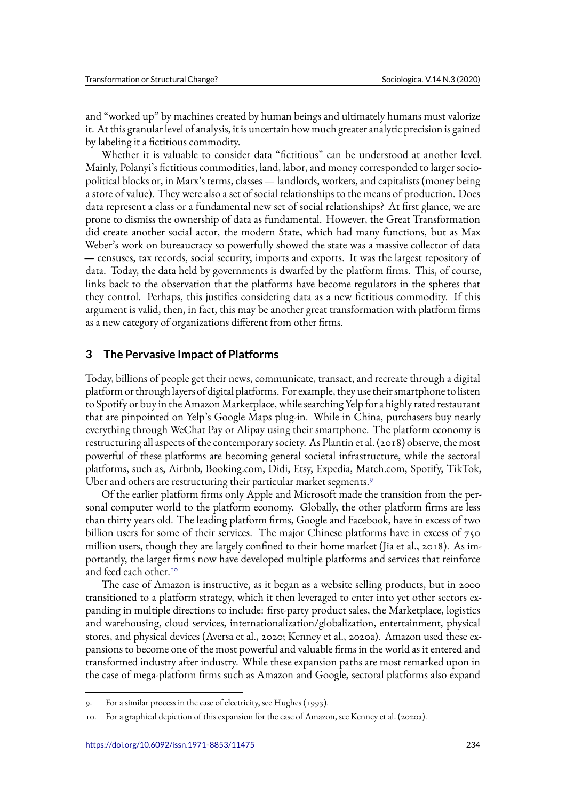and "worked up" by machines created by human beings and ultimately humans must valorize it. At this granular level of analysis, it is uncertain how much greater analytic precision is gained by labeling it a fictitious commodity.

Whether it is valuable to consider data "fictitious" can be understood at another level. Mainly, Polanyi's fictitious commodities, land, labor, and money corresponded to larger sociopolitical blocks or, in Marx's terms, classes — landlords, workers, and capitalists (money being a store of value). They were also a set of social relationships to the means of production. Does data represent a class or a fundamental new set of social relationships? At first glance, we are prone to dismiss the ownership of data as fundamental. However, the Great Transformation did create another social actor, the modern State, which had many functions, but as Max Weber's work on bureaucracy so powerfully showed the state was a massive collector of data — censuses, tax records, social security, imports and exports. It was the largest repository of data. Today, the data held by governments is dwarfed by the platform firms. This, of course, links back to the observation that the platforms have become regulators in the spheres that they control. Perhaps, this justifies considering data as a new fictitious commodity. If this argument is valid, then, in fact, this may be another great transformation with platform firms as a new category of organizations different from other firms.

### **3 The Pervasive Impact of Platforms**

Today, billions of people get their news, communicate, transact, and recreate through a digital platform or through layers of digital platforms. For example, they use their smartphone to listen to Spotify or buy in the AmazonMarketplace, while searching Yelp for a highly rated restaurant that are pinpointed on Yelp's Google Maps plug-in. While in China, purchasers buy nearly everything through WeChat Pay or Alipay using their smartphone. The platform economy is restructuring all aspects of the contemporary society. As Plantin et al. (2018) observe, the most powerful of these platforms are becoming general societal infrastructure, while the sectoral platforms, such as, Airbnb, Booking.com, Didi, Etsy, Expedia, Match.com, Spotify, TikTok, Uber and others are restructuring their particular market segments.<sup>9</sup>

Of the earlier platform firms only Apple and Microsoft made the transition from the personal computer world to the platform economy. Globally, the other platform firms are less than thirty years old. The leading platform firms, Google and Face[bo](#page-7-0)ok, have in excess of two billion users for some of their services. The major Chinese platforms have in excess of 750 million users, though they are largely confined to their home market (Jia et al., 2018). As importantly, the larger firms now have developed multiple platforms and services that reinforce and feed each other.<sup>10</sup>

The case of Amazon is instructive, as it began as a website selling products, but in 2000 transitioned to a platform strategy, which it then leveraged to enter into yet other sectors expanding in multipl[e d](#page-7-1)irections to include: first-party product sales, the Marketplace, logistics and warehousing, cloud services, internationalization/globalization, entertainment, physical stores, and physical devices (Aversa et al., 2020; Kenney et al., 2020a). Amazon used these expansions to become one of the most powerful and valuable firms in the world as it entered and transformed industry after industry. While these expansion paths are most remarked upon in the case of mega-platform firms such as Amazon and Google, sectoral platforms also expand

<sup>9.</sup> For a similar process in the case of electricity, see Hughes (1993).

<span id="page-7-1"></span><span id="page-7-0"></span><sup>10.</sup> For a graphical depiction of this expansion for the case of Amazon, see Kenney et al. (2020a).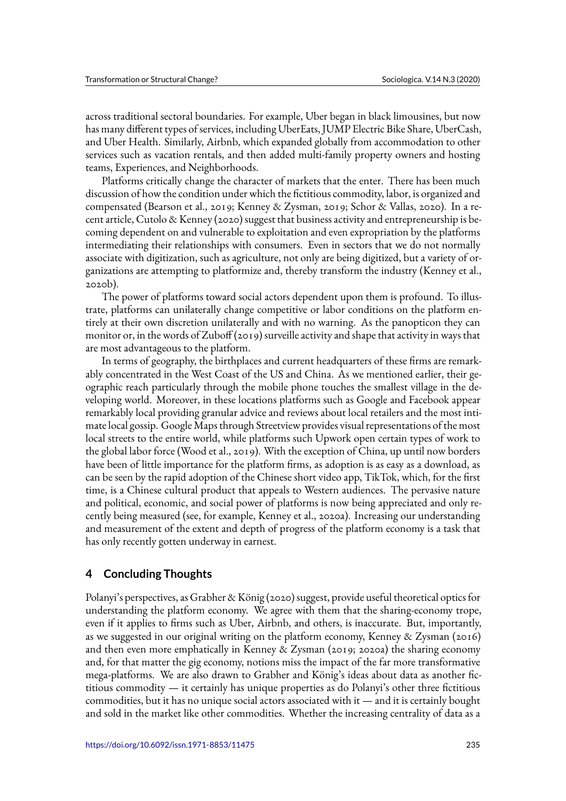across traditional sectoral boundaries. For example, Uber began in black limousines, but now has many different types of services, including UberEats, JUMP Electric Bike Share, UberCash, and Uber Health. Similarly, Airbnb, which expanded globally from accommodation to other services such as vacation rentals, and then added multi-family property owners and hosting teams, Experiences, and Neighborhoods.

Platforms critically change the character of markets that the enter. There has been much discussion of how the condition under which the fictitious commodity, labor, is organized and compensated (Bearson et al., 2019; Kenney & Zysman, 2019; Schor & Vallas, 2020). In a recent article, Cutolo & Kenney (2020) suggest that business activity and entrepreneurship is becoming dependent on and vulnerable to exploitation and even expropriation by the platforms intermediating their relationships with consumers. Even in sectors that we do not normally associate with digitization, such as agriculture, not only are being digitized, but a variety of organizations are attempting to platformize and, thereby transform the industry (Kenney et al., 2020b).

The power of platforms toward social actors dependent upon them is profound. To illustrate, platforms can unilaterally change competitive or labor conditions on the platform entirely at their own discretion unilaterally and with no warning. As the panopticon they can monitor or, in the words of Zuboff (2019) surveille activity and shape that activity in ways that are most advantageous to the platform.

In terms of geography, the birthplaces and current headquarters of these firms are remarkably concentrated in the West Coast of the US and China. As we mentioned earlier, their geographic reach particularly through the mobile phone touches the smallest village in the developing world. Moreover, in these locations platforms such as Google and Facebook appear remarkably local providing granular advice and reviews about local retailers and the most intimate local gossip. Google Maps through Streetview provides visual representations of the most local streets to the entire world, while platforms such Upwork open certain types of work to the global labor force (Wood et al., 2019). With the exception of China, up until now borders have been of little importance for the platform firms, as adoption is as easy as a download, as can be seen by the rapid adoption of the Chinese short video app, TikTok, which, for the first time, is a Chinese cultural product that appeals to Western audiences. The pervasive nature and political, economic, and social power of platforms is now being appreciated and only recently being measured (see, for example, Kenney et al., 2020a). Increasing our understanding and measurement of the extent and depth of progress of the platform economy is a task that has only recently gotten underway in earnest.

## **4 Concluding Thoughts**

Polanyi's perspectives, as Grabher & König (2020) suggest, provide useful theoretical optics for understanding the platform economy. We agree with them that the sharing-economy trope, even if it applies to firms such as Uber, Airbnb, and others, is inaccurate. But, importantly, as we suggested in our original writing on the platform economy, Kenney & Zysman (2016) and then even more emphatically in Kenney & Zysman (2019; 2020a) the sharing economy and, for that matter the gig economy, notions miss the impact of the far more transformative mega-platforms. We are also drawn to Grabher and König's ideas about data as another fictitious commodity — it certainly has unique properties as do Polanyi's other three fictitious commodities, but it has no unique social actors associated with it — and it is certainly bought and sold in the market like other commodities. Whether the increasing centrality of data as a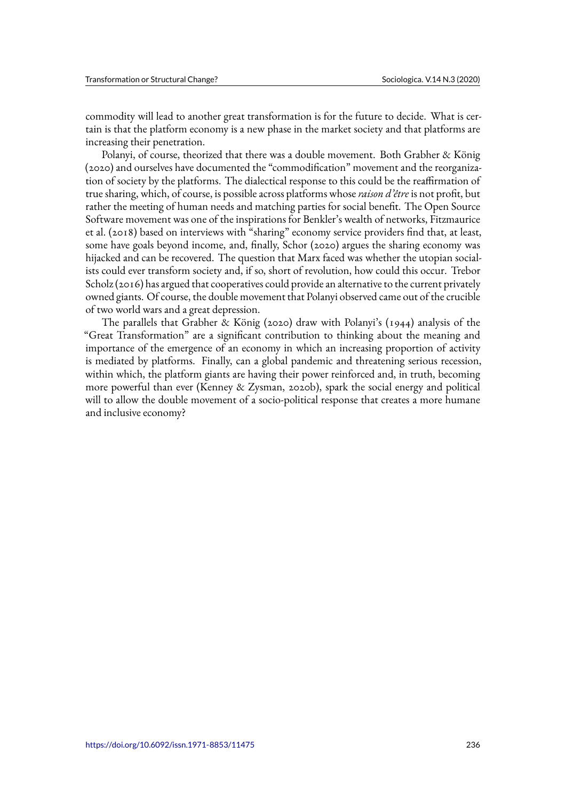commodity will lead to another great transformation is for the future to decide. What is certain is that the platform economy is a new phase in the market society and that platforms are increasing their penetration.

Polanyi, of course, theorized that there was a double movement. Both Grabher & König (2020) and ourselves have documented the "commodification" movement and the reorganization of society by the platforms. The dialectical response to this could be the reaffirmation of true sharing, which, of course, is possible across platforms whose*raison d'être* is not profit, but rather the meeting of human needs and matching parties for social benefit. The Open Source Software movement was one of the inspirations for Benkler's wealth of networks, Fitzmaurice et al. (2018) based on interviews with "sharing" economy service providers find that, at least, some have goals beyond income, and, finally, Schor (2020) argues the sharing economy was hijacked and can be recovered. The question that Marx faced was whether the utopian socialists could ever transform society and, if so, short of revolution, how could this occur. Trebor Scholz (2016) has argued that cooperatives could provide an alternative to the current privately owned giants. Of course, the double movement that Polanyi observed came out of the crucible of two world wars and a great depression.

The parallels that Grabher & König (2020) draw with Polanyi's (1944) analysis of the "Great Transformation" are a significant contribution to thinking about the meaning and importance of the emergence of an economy in which an increasing proportion of activity is mediated by platforms. Finally, can a global pandemic and threatening serious recession, within which, the platform giants are having their power reinforced and, in truth, becoming more powerful than ever (Kenney & Zysman, 2020b), spark the social energy and political will to allow the double movement of a socio-political response that creates a more humane and inclusive economy?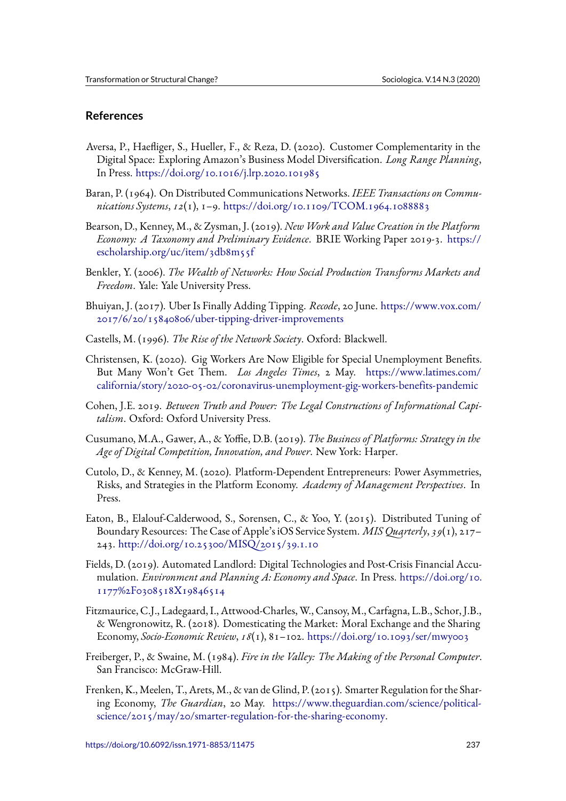# **References**

- Aversa, P., Haefliger, S., Hueller, F., & Reza, D. (2020). Customer Complementarity in the Digital Space: Exploring Amazon's Business Model Diversification. *Long Range Planning*, In Press. https://doi.org/10.1016/j.lrp.2020.101985
- Baran, P. (1964). On Distributed Communications Networks. *IEEE Transactions on Communications Systems*, *12*(1), 1–9. https://doi.org/10.1109/TCOM.1964.1088883
- Bearson, D.[, Kenney, M., & Zysman, J. \(2019\).](https://doi.org/10.1016/j.lrp.2020.101985) *New Work and Value Creation in the Platform Economy: A Taxonomy and Preliminary Evidence*. BRIE Working Paper 2019-3. https:// escholarship.org/uc/item/3d[b8m55f](https://doi.org/10.1109/TCOM.1964.1088883)
- Benkler, Y. (2006). *The Wealth of Networks: How Social Production Transforms Markets and Freedom*. Yale: Yale University Press.
- B[huiyan, J. \(2017\). Uber Is Finally Addi](https://escholarship.org/uc/item/3db8m55f)ng Tipping. *Recode*, 20 June. https://www.vox.com/ 2017/6/20/15840806/uber-tipping-driver-improvements
- Castells, M. (1996). *The Rise of the Network Society*. Oxford: Blackwell.
- C[hristensen, K. \(2020\). Gig Workers Are Now Eligible for S](https://www.vox.com/2017/6/20/15840806/uber-tipping-driver-improvements)pecial [Unemployment Benefits.](https://www.vox.com/2017/6/20/15840806/uber-tipping-driver-improvements) But Many Won't Get Them. *Los Angeles Times*, 2 May. https://www.latimes.com/ california/story/2020-05-02/coronavirus-unemployment-gig-workers-benefits-pandemic
- Cohen, J.E. 2019. *Between Truth and Power: The Legal Constructions of Informational Capitalism*. Oxford: Oxford University Press.
- C[usumano, M.A., Gawer, A., & Yoffie, D.B. \(2019\).](https://www.latimes.com/california/story/2020-05-02/coronavirus-unemployment-gig-workers-benefits-pandemic) *The Business of Platforms: Strategy in the Age of Digital Competition, Innovation, and Power*. New York: Harper.
- Cutolo, D., & Kenney, M. (2020). Platform-Dependent Entrepreneurs: Power Asymmetries, Risks, and Strategies in the Platform Economy. *Academy of Management Perspectives*. In Press.
- Eaton, B., Elalouf-Calderwood, S., Sorensen, C., & Yoo, Y. (2015). Distributed Tuning of Boundary Resources: The Case of Apple's iOS Service System. *MIS Quarterly*, *39*(1), 217– 243. http://doi.org/10.25300/MISQ/2015/39.1.10
- Fields, D. (2019). Automated Landlord: Digital Technologies and Post-Crisis Financial Accumulation. *Environment and Planning A: Economy and Space*. In Press. https://doi.org/10. 1177[%2F0308518X19846514](http://doi.org/10.25300/MISQ/2015/39.1.10)
- Fitzmaurice, C.J., Ladegaard, I., Attwood-Charles, W., Cansoy, M., Carfagna, L.B., Schor, J.B., & Wengronowitz, R. (2018). Domesticating the Market: Moral Excha[nge and the Sharing](https://doi.org/10.1177%2F0308518X19846514) Economy, *[Socio-Economic Revi](https://doi.org/10.1177%2F0308518X19846514)ew*, *18*(1), 81–102. https://doi.org/10.1093/ser/mwy003
- Freiberger, P., & Swaine, M. (1984). *Fire in the Valley: The Making of the Personal Computer*. San Francisco: McGraw-Hill.
- Frenken, K., Meelen, T., Arets, M., & van de Glind, [P. \(2015\). Smarter Regulation for the Sh](https://doi.org/10.1093/ser/mwy003)aring Economy, *The Guardian*, 20 May. https://www.theguardian.com/science/politicalscience/2015/may/20/smarter-regulation-for-the-sharing-economy.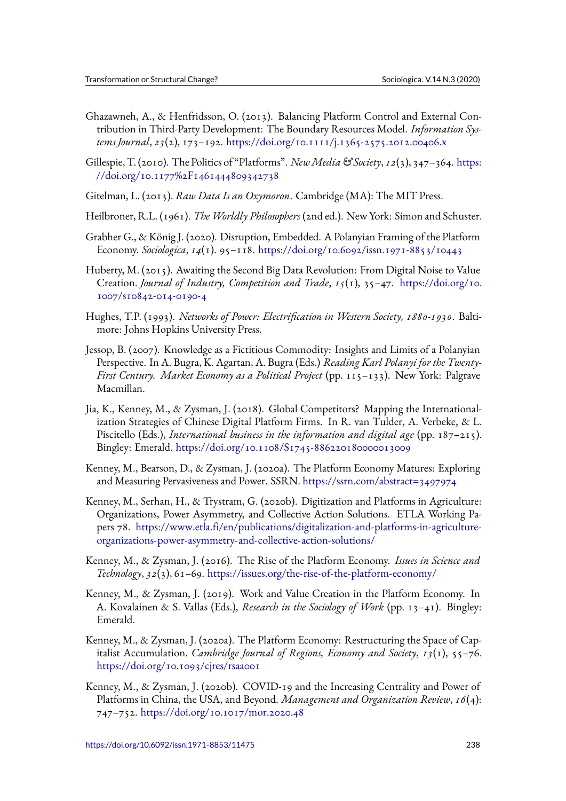- Ghazawneh, A., & Henfridsson, O. (2013). Balancing Platform Control and External Contribution in Third‐Party Development: The Boundary Resources Model. *Information Systems Journal*, *23*(2), 173–192. https://doi.org/10.1111/j.1365-2575.2012.00406.x
- Gillespie, T. (2010). The Politics of "Platforms". *NewMedia & Society*, *12*(3), 347–364. https: //doi.org/10.1177%2F1461444809342738
- Gitelman, L. (2013). *Raw Data Is an Oxymoron*[. Cambridge \(MA\): The MIT Press.](https://doi.org/10.1111/j.1365-2575.2012.00406.x)
- H[eilbroner, R.L. \(1961\).](https://doi.org/10.1177%2F1461444809342738) *The Worldly Philosophers* (2nd ed.). New York: Simon and Sc[huster.](https://doi.org/10.1177%2F1461444809342738)
- Grabher G., & König J. (2020). Disruption, Embedded. A Polanyian Framing of the Platform Economy. *Sociologica*, *14*(1). 95–118. https://doi.org/10.6092/issn.1971-8853/10443
- Huberty, M. (2015). Awaiting the Second Big Data Revolution: From Digital Noise to Value Creation. *Journal of Industry, Compe[tition and Trade](https://doi.org/10.6092/issn.1971-8853/10443)*, *15*(1), 35–47. https://doi.org/10. 1007/s10842-014-0190-4
- Hughes, T.P. (1993). *Networks of Power: Electrification in Western Society, 1880-1930*. Baltimore: Johns Hopkins University Press.
- Je[ssop, B. \(2007\). Knowledg](https://doi.org/10.1007/s10842-014-0190-4)e as a Fictitious Commodity: Insights and Limits of a Polanyian Perspective. In A. Bugra, K. Agartan, A. Bugra (Eds.) *Reading Karl Polanyi for the Twenty-First Century. Market Economy as a Political Project* (pp. 115–133). New York: Palgrave Macmillan.
- Jia, K., Kenney, M., & Zysman, J. (2018). Global Competitors? Mapping the Internationalization Strategies of Chinese Digital Platform Firms. In R. van Tulder, A. Verbeke, & L. Piscitello (Eds.), *International business in the information and digital age* (pp. 187–215). Bingley: Emerald. https://doi.org/10.1108/S1745-886220180000013009
- Kenney, M., Bearson, D., & Zysman, J. (2020a). The Platform Economy Matures: Exploring and Measuring Pervasiveness and Power. SSRN. https://ssrn.com/abstract=3497974
- Kenney, M., Serhan, [H., & Trystram, G. \(2020b\). Digitization and Platform](https://doi.org/10.1108/S1745-886220180000013009)s in Agriculture: Organizations, Power Asymmetry, and Collective Action Solutions. ETLA Working Papers 78. https://www.etla.fi/en/publications/d[igitalization-and-platforms-in-agricu](https://ssrn.com/abstract=3497974)ltureorganizations-power-asymmetry-and-collective-action-solutions/
- Kenney, M., & Zysman, J. (2016). The Rise of the Platform Economy. *Issues in Science and Technology*, *32*(3), 61–69. [https://issues.org/the-rise-of-the-platform-economy/](https://www.etla.fi/en/publications/digitalization-and-platforms-in-agriculture-organizations-power-asymmetry-and-collective-action-solutions/)
- K[enney, M., & Zysman, J. \(2019\). Work and Value Creation in the](https://www.etla.fi/en/publications/digitalization-and-platforms-in-agriculture-organizations-power-asymmetry-and-collective-action-solutions/) Platform Economy. In A. Kovalainen & S. Vallas (Eds.), *Research in the Sociology of Work* (pp. 13–41). Bingley: Emerald.
- Kenney, M., & Zysman, J. (2020a). The Platform Economy: Restructuring the Space of Capitalist Accumulation. *Cambridge Journal of Regions, Economy and Society*, *13*(1), 55–76. https://doi.org/10.1093/cjres/rsaa001
- Kenney, M., & Zysman, J. (2020b). COVID-19 and the Increasing Centrality and Power of Platforms in China, the USA, and Beyond. *Management and Organization Review*, *16*(4): 747–752. [https://doi.org/10.1017/mo](https://doi.org/10.1093/cjres/rsaa001)r.2020.48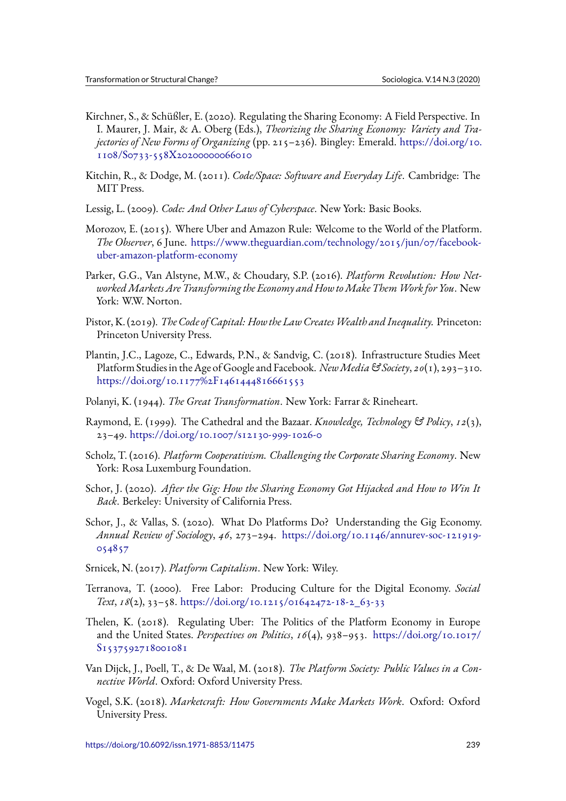- Kirchner, S., & Schüßler, E. (2020). Regulating the Sharing Economy: A Field Perspective. In I. Maurer, J. Mair, & A. Oberg (Eds.), *Theorizing the Sharing Economy: Variety and Trajectories of New Forms of Organizing* (pp. 215–236). Bingley: Emerald. https://doi.org/10. 1108/S0733-558X20200000066010
- Kitchin, R., & Dodge, M. (2011). *Code/Space: Software and Everyday Life*. Cambridge: The MIT Press.
- Lessig, L. (2009). *[Code: And Other Law](https://doi.org/10.1108/S0733-558X20200000066010)s of Cyberspace*. New York: Basic Books.
- Morozov, E. (2015). Where Uber and Amazon Rule: Welcome to the World of the Platform. *The Observer*, 6 June. https://www.theguardian.com/technology/2015/jun/07/facebookuber-amazon-platform-economy
- Parker, G.G., Van Alstyne, M.W., & Choudary, S.P. (2016). *Platform Revolution: How NetworkedMarkets Are T[ransforming the Economy and How toMake ThemWork for You](https://www.theguardian.com/technology/2015/jun/07/facebook-uber-amazon-platform-economy)*. New [York: W.W. Norton.](https://www.theguardian.com/technology/2015/jun/07/facebook-uber-amazon-platform-economy)
- Pistor, K. (2019). *The Code of Capital: Howthe Law CreatesWealth and Inequality.* Princeton: Princeton University Press.
- Plantin, J.C., Lagoze, C., Edwards, P.N., & Sandvig, C. (2018). Infrastructure Studies Meet Platform Studies in the Age of Google and Facebook. *NewMedia & Society*, *20*(1), 293–310. https://doi.org/10.1177%2F1461444816661553
- Polanyi, K. (1944). *The Great Transformation*. New York: Farrar & Rineheart.
- R[aymond, E. \(1999\). The Cathedral and the Bazaa](https://doi.org/10.1177%2F1461444816661553)r. *Knowledge, Technology & Policy*, *12*(3), 23–49. https://doi.org/10.1007/s12130-999-1026-0
- Scholz, T. (2016). *Platform Cooperativism. Challenging the Corporate Sharing Economy*. New York: Rosa Luxemburg Foundation.
- Schor, J. (2020). *[After the Gig: How the Sharing Econom](https://doi.org/10.1007/s12130-999-1026-0)y Got Hijacked and How to Win It Back*. Berkeley: University of California Press.
- Schor, J., & Vallas, S. (2020). What Do Platforms Do? Understanding the Gig Economy. *Annual Review of Sociology*, *46*, 273–294. https://doi.org/10.1146/annurev-soc-121919- 054857
- Srnicek, N. (2017). *Platform Capitalism*. New York: Wiley.
- Te[rranova,](https://doi.org/10.1146/annurev-soc-121919-054857) T. (2000). Free Labor: Produ[cing Culture for the Digital Economy.](https://doi.org/10.1146/annurev-soc-121919-054857) *Social Text*, *18*(2), 33–58. https://doi.org/10.1215/01642472-18-2\_63-33
- Thelen, K. (2018). Regulating Uber: The Politics of the Platform Economy in Europe and the United States. *Perspectives on Politics*, *16*(4), 938–953. https://doi.org/10.1017/ S15375927180010[81](https://doi.org/10.1215/01642472-18-2_63-33)
- Van Dijck, J., Poell, T., & De Waal, M. (2018). *The Platform Society: Public Values in a Connective World*. Oxford: Oxford University Press.
- V[ogel, S.K. \(2018\).](https://doi.org/10.1017/S1537592718001081) *Marketcraft: How Governments Make Markets Work*. Oxford: Oxford University Press.